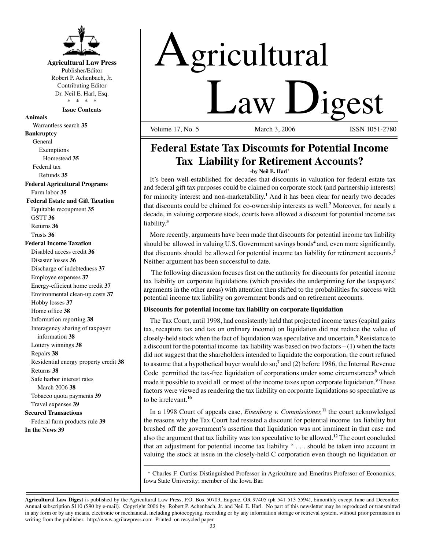

**Agricultural Law Press** Publisher/Editor Robert P. Achenbach, Jr. Contributing Editor Dr. Neil E. Harl, Esq. \* \* \* \*

**Issue Contents** 

**Animals**  Warrantless search **35 Bankruptcy** General Exemptions Homestead **35**  Federal tax Refunds **35 Federal Agricultural Programs** Farm labor **35 Federal Estate and Gift Taxation**  Equitable recoupment **35**  GSTT **36**  Returns **36**  Trusts **36 Federal Income Taxation**  Disabled access credit **36**  Disaster losses **36**  Discharge of indebtedness **37**  Employee expenses **37**  Energy-efficient home credit **37**  Environmental clean-up costs **37**  Hobby losses **37**  Home office **38**  Information reporting **38**  Interagency sharing of taxpayer information **38**  Lottery winnings **38**  Repairs **38**  Residential energy property credit **38**  Returns **38**  Safe harbor interest rates March 2006 **38** Tobacco quota payments **39** Travel expenses **39 Secured Transactions**  Federal farm products rule **39 In the News 39** 

# Agricultural <u>Law Digest</u>

Volume 17, No. 5

## **Federal Estate Tax Discounts for Potential Income Tax Liability for Retirement Accounts?**

**-by Neil E. Harl\*** 

It's been well-established for decades that discounts in valuation for federal estate tax and federal gift tax purposes could be claimed on corporate stock (and partnership interests) for minority interest and non-marketability. **<sup>1</sup>**And it has been clear for nearly two decades that discounts could be claimed for co-ownership interests as well.**<sup>2</sup>**Moreover, for nearly a decade, in valuing corporate stock, courts have allowed a discount for potential income tax liability. **3** 

More recently, arguments have been made that discounts for potential income tax liability should be allowed in valuing U.S. Government savings bonds**<sup>4</sup>** and, even more significantly, that discounts should be allowed for potential income tax liability for retirement accounts.**<sup>5</sup>** Neither argument has been successful to date.

The following discussion focuses first on the authority for discounts for potential income tax liability on corporate liquidations (which provides the underpinning for the taxpayers' arguments in the other areas) with attention then shifted to the probabilities for success with potential income tax liability on government bonds and on retirement accounts.

### **Discounts for potential income tax liability on corporate liquidation**

The Tax Court, until 1998, had consistently held that projected income taxes (capital gains tax, recapture tax and tax on ordinary income) on liquidation did not reduce the value of closely-held stock when the fact of liquidation was speculative and uncertain.**<sup>6</sup>**Resistance to a discount for the potential income tax liability was based on two factors  $- (1)$  when the facts did not suggest that the shareholders intended to liquidate the corporation, the court refused to assume that a hypothetical buyer would do so;**<sup>7</sup>**and (2) before 1986, the Internal Revenue Code permitted the tax-free liquidation of corporations under some circumstances**<sup>8</sup>**which made it possible to avoid all or most of the income taxes upon corporate liquidation.**<sup>9</sup>**These factors were viewed as rendering the tax liability on corporate liquidations so speculative as to be irrelevant.**<sup>10</sup>**

In a 1998 Court of appeals case, *Eisenberg v. Commissioner,* **<sup>11</sup>**the court acknowledged the reasons why the Tax Court had resisted a discount for potential income tax liability but brushed off the government's assertion that liquidation was not imminent in that case and also the argument that tax liability was too speculative to be allowed.**<sup>12</sup>**The court concluded that an adjustment for potential income tax liability " . . . should be taken into account in valuing the stock at issue in the closely-held C corporation even though no liquidation or

\* Charles F. Curtiss Distinguished Professor in Agriculture and Emeritus Professor of Economics, Iowa State University; member of the Iowa Bar.

\_\_\_\_\_\_\_\_\_\_\_\_\_\_\_\_\_\_\_\_\_\_\_\_\_\_\_\_\_\_\_\_\_\_\_\_\_\_\_\_\_\_\_\_\_\_\_\_\_\_\_\_\_\_\_\_\_\_\_\_\_\_\_\_\_\_\_\_\_\_\_

**Agricultural Law Digest** is published by the Agricultural Law Press, P.O. Box 50703, Eugene, OR 97405 (ph 541-513-5594), bimonthly except June and December. Annual subscription \$110 (\$90 by e-mail). Copyright 2006 by Robert P. Achenbach, Jr. and Neil E. Harl. No part of this newsletter may be reproduced or transmitted in any form or by any means, electronic or mechanical, including photocopying, recording or by any information storage or retrieval system, without prior permission in writing from the publisher. http://www.agrilawpress.com Printed on recycled paper.